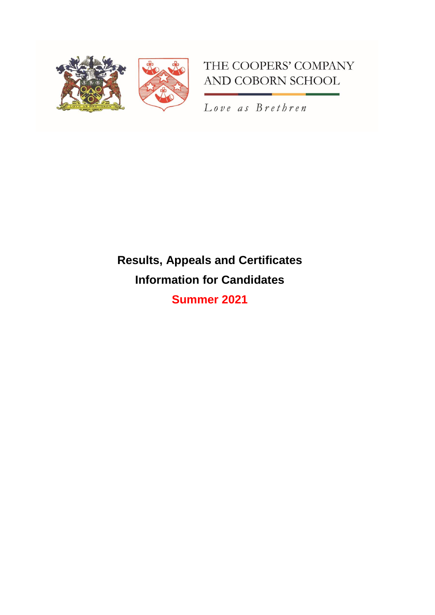

# THE COOPERS' COMPANY AND COBORN SCHOOL

Love as Brethren

# **Results, Appeals and Certificates Information for Candidates**

**Summer 2021**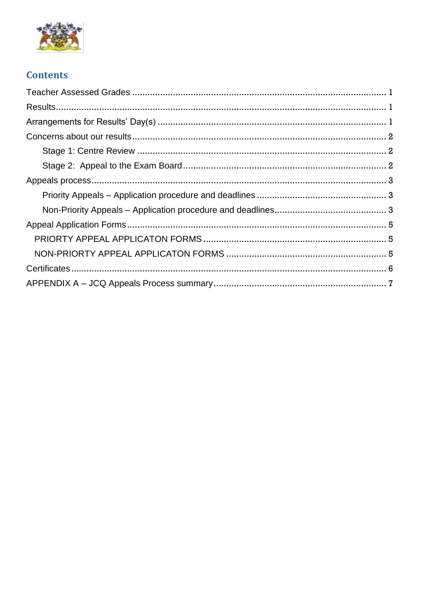

# **Contents**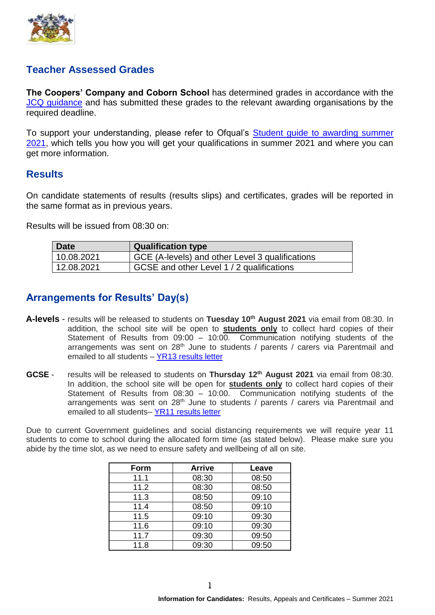

## <span id="page-2-0"></span>**Teacher Assessed Grades**

**The Coopers' Company and Coborn School** has determined grades in accordance with the [JCQ guidance](file:///C:/Users/ati/Downloads/JCQ-Guidance-for-Students-and-Parents-on-Summer-2021.pdf) and has submitted these grades to the relevant awarding organisations by the required deadline.

To support your understanding, please refer to Ofqual's Student quide to awarding summer [2021,](https://assets.publishing.service.gov.uk/government/uploads/system/uploads/attachment_data/file/986351/21-6780_Student_guide_to_awarding_in_summer_2021_-_accessible.pdf) which tells you how you will get your qualifications in summer 2021 and where you can get more information.

## <span id="page-2-1"></span>**Results**

On candidate statements of results (results slips) and certificates, grades will be reported in the same format as in previous years.

Results will be issued from 08:30 on:

| Date       | <b>Qualification type</b>                       |
|------------|-------------------------------------------------|
| 10.08.2021 | GCE (A-levels) and other Level 3 qualifications |
| 12.08.2021 | GCSE and other Level 1 / 2 qualifications       |

## <span id="page-2-2"></span>**Arrangements for Results' Day(s)**

- **A-levels** results will be released to students on **Tuesday 10th August 2021** via email from 08:30. In addition, the school site will be open to **students only** to collect hard copies of their Statement of Results from 09:00 – 10:00. Communication notifying students of the arrangements was sent on 28<sup>th</sup> June to students / parents / carers via Parentmail and emailed to all students – [YR13 results letter](https://www.cooperscoborn.org.uk/wp-content/uploads/2021/06/YR13-results-letter-FINALISED.pdf)
- **GCSE** results will be released to students on **Thursday 12th August 2021** via email from 08:30. In addition, the school site will be open for **students only** to collect hard copies of their Statement of Results from 08:30 – 10:00. Communication notifying students of the arrangements was sent on 28<sup>th</sup> June to students / parents / carers via Parentmail and emailed to all students– [YR11 results letter](https://www.cooperscoborn.org.uk/wp-content/uploads/2021/06/YR11-results-letter-FINALISED.pdf)

Due to current Government guidelines and social distancing requirements we will require year 11 students to come to school during the allocated form time (as stated below). Please make sure you abide by the time slot, as we need to ensure safety and wellbeing of all on site.

| Form | <b>Arrive</b> | Leave |
|------|---------------|-------|
| 11.1 | 08:30         | 08:50 |
| 11.2 | 08:30         | 08:50 |
| 11.3 | 08:50         | 09:10 |
| 11.4 | 08:50         | 09:10 |
| 11.5 | 09:10         | 09:30 |
| 11.6 | 09:10         | 09:30 |
| 11.7 | 09:30         | 09:50 |
| 11.8 | 09:30         | 09:50 |

1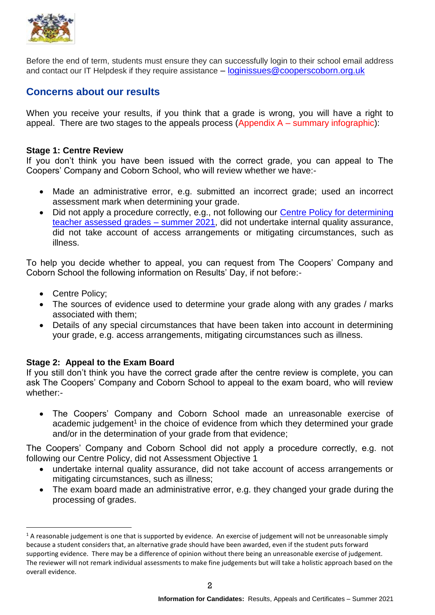

Before the end of term, students must ensure they can successfully login to their school email address and contact our IT Helpdesk if they require assistance – [loginissues@cooperscoborn.org.uk](mailto:loginissues@cooperscoborn.org.uk)

## <span id="page-3-0"></span>**Concerns about our results**

When you receive your results, if you think that a grade is wrong, you will have a right to appeal. There are two stages to the appeals process (Appendix A – summary infographic):

#### <span id="page-3-1"></span>**Stage 1: Centre Review**

If you don't think you have been issued with the correct grade, you can appeal to The Coopers' Company and Coborn School, who will review whether we have:-

- Made an administrative error, e.g. submitted an incorrect grade; used an incorrect assessment mark when determining your grade.
- Did not apply a procedure correctly, e.g., not following our Centre Policy for determining [teacher assessed grades –](https://www.cooperscoborn.org.uk/wp-content/uploads/2021/04/Summer-2021-JCQ-Guidance-Centre-policy-CCCS-FINAL.pdf) summer 2021, did not undertake internal quality assurance, did not take account of access arrangements or mitigating circumstances, such as illness.

To help you decide whether to appeal, you can request from The Coopers' Company and Coborn School the following information on Results' Day, if not before:-

• Centre Policy;

1

- The sources of evidence used to determine your grade along with any grades / marks associated with them;
- Details of any special circumstances that have been taken into account in determining your grade, e.g. access arrangements, mitigating circumstances such as illness.

#### <span id="page-3-2"></span>**Stage 2: Appeal to the Exam Board**

If you still don't think you have the correct grade after the centre review is complete, you can ask The Coopers' Company and Coborn School to appeal to the exam board, who will review whether:-

 The Coopers' Company and Coborn School made an unreasonable exercise of academic judgement<sup>1</sup> in the choice of evidence from which they determined your grade and/or in the determination of your grade from that evidence;

The Coopers' Company and Coborn School did not apply a procedure correctly, e.g. not following our Centre Policy, did not Assessment Objective 1

- undertake internal quality assurance, did not take account of access arrangements or mitigating circumstances, such as illness;
- The exam board made an administrative error, e.g. they changed your grade during the processing of grades.

 $1$  A reasonable judgement is one that is supported by evidence. An exercise of judgement will not be unreasonable simply because a student considers that, an alternative grade should have been awarded, even if the student puts forward supporting evidence. There may be a difference of opinion without there being an unreasonable exercise of judgement. The reviewer will not remark individual assessments to make fine judgements but will take a holistic approach based on the overall evidence.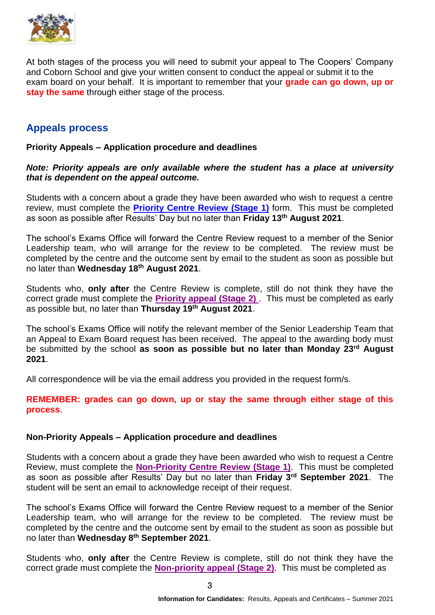

At both stages of the process you will need to submit your appeal to The Coopers' Company and Coborn School and give your written consent to conduct the appeal or submit it to the exam board on your behalf. It is important to remember that your **grade can go down, up or stay the same** through either stage of the process.

## <span id="page-4-0"></span>**Appeals process**

#### <span id="page-4-1"></span>**Priority Appeals – Application procedure and deadlines**

#### *Note: Priority appeals are only available where the student has a place at university that is dependent on the appeal outcome.*

Students with a concern about a grade they have been awarded who wish to request a centre review, must complete the **Priority [Centre Review \(Stage 1\)](https://forms.gle/mA7QbWCoFFBhDtLm9)** form. This must be completed as soon as possible after Results' Day but no later than **Friday 13th August 2021**.

The school's Exams Office will forward the Centre Review request to a member of the Senior Leadership team, who will arrange for the review to be completed. The review must be completed by the centre and the outcome sent by email to the student as soon as possible but no later than **Wednesday 18th August 2021**.

Students who, **only after** the Centre Review is complete, still do not think they have the correct grade must complete the **[Priority appeal \(Stage 2\)](https://forms.gle/1QcW4utbCiAQwkSy8)** . This must be completed as early as possible but, no later than **Thursday 19th August 2021**.

The school's Exams Office will notify the relevant member of the Senior Leadership Team that an Appeal to Exam Board request has been received. The appeal to the awarding body must be submitted by the school **as soon as possible but no later than Monday 23rd August 2021**.

All correspondence will be via the email address you provided in the request form/s.

**REMEMBER: grades can go down, up or stay the same through either stage of this process**.

#### <span id="page-4-2"></span>**Non-Priority Appeals – Application procedure and deadlines**

Students with a concern about a grade they have been awarded who wish to request a Centre Review, must complete the **Non-Priority [Centre Review \(Stage 1\)](https://forms.gle/KHtzywmZhvvPujRf7)**. This must be completed as soon as possible after Results' Day but no later than **Friday 3rd September 2021**. The student will be sent an email to acknowledge receipt of their request.

The school's Exams Office will forward the Centre Review request to a member of the Senior Leadership team, who will arrange for the review to be completed. The review must be completed by the centre and the outcome sent by email to the student as soon as possible but no later than **Wednesday 8th September 2021**.

Students who, **only after** the Centre Review is complete, still do not think they have the correct grade must complete the **[Non-priority appeal \(Stage 2\)](https://forms.gle/MDAsdn1nTq2nVPH69)**. This must be completed as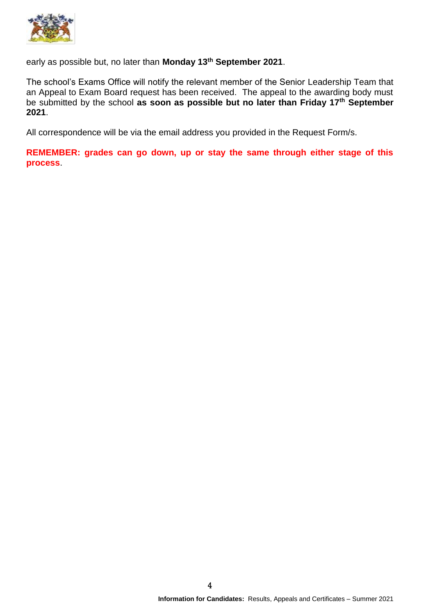

early as possible but, no later than **Monday 13th September 2021**.

The school's Exams Office will notify the relevant member of the Senior Leadership Team that an Appeal to Exam Board request has been received. The appeal to the awarding body must be submitted by the school **as soon as possible but no later than Friday 17th September 2021**.

All correspondence will be via the email address you provided in the Request Form/s.

**REMEMBER: grades can go down, up or stay the same through either stage of this process**.

4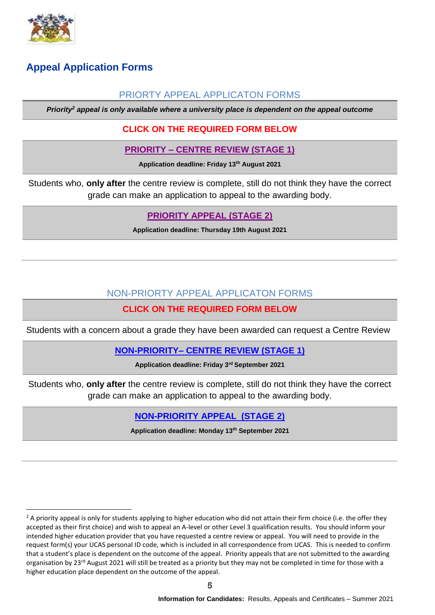

1

# <span id="page-6-1"></span><span id="page-6-0"></span>**Appeal Application Forms**

## PRIORTY APPEAL APPLICATON FORMS

*Priority<sup>2</sup> appeal is only available where a university place is dependent on the appeal outcome*

## **CLICK ON THE REQUIRED FORM BELOW**

#### **PRIORITY – [CENTRE REVIEW \(STAGE 1\)](https://forms.gle/JyWAhCJwsrBYKg1M7)**

**Application deadline: Friday 13th August 2021**

Students who, **only after** the centre review is complete, still do not think they have the correct grade can make an application to appeal to the awarding body.

## **[PRIORITY APPEAL \(STAGE 2\)](https://forms.gle/2CD6DXk1nYnN9a5Y6)**

**Application deadline: Thursday 19th August 2021**

## NON-PRIORTY APPEAL APPLICATON FORMS

## **CLICK ON THE REQUIRED FORM BELOW**

<span id="page-6-2"></span>Students with a concern about a grade they have been awarded can request a Centre Review

#### **NON-PRIORITY– [CENTRE REVIEW \(STAGE 1\)](https://forms.gle/p61mBFyxceco6KoY8)**

**Application deadline: Friday 3rd September 2021**

Students who, **only after** the centre review is complete, still do not think they have the correct grade can make an application to appeal to the awarding body.

## **[NON-PRIORITY APPEAL \(STAGE](https://forms.gle/eRpWWfkdWeusmtEs5) 2)**

**Application deadline: Monday 13th September 2021**

 $2$  A priority appeal is only for students applying to higher education who did not attain their firm choice (i.e. the offer they accepted as their first choice) and wish to appeal an A-level or other Level 3 qualification results. You should inform your intended higher education provider that you have requested a centre review or appeal. You will need to provide in the request form(s) your UCAS personal ID code, which is included in all correspondence from UCAS. This is needed to confirm that a student's place is dependent on the outcome of the appeal. Priority appeals that are not submitted to the awarding organisation by 23<sup>rd</sup> August 2021 will still be treated as a priority but they may not be completed in time for those with a higher education place dependent on the outcome of the appeal.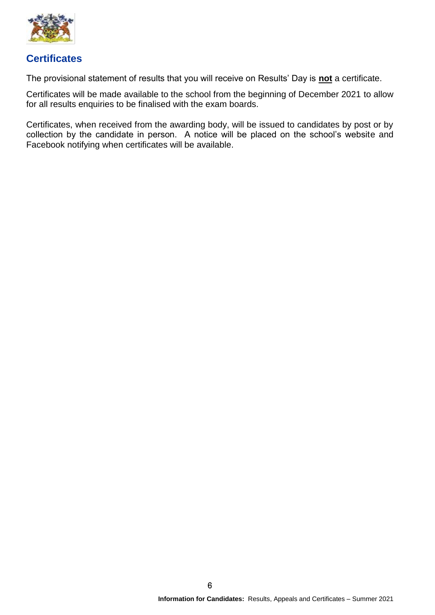

## <span id="page-7-0"></span>**Certificates**

The provisional statement of results that you will receive on Results' Day is **not** a certificate.

Certificates will be made available to the school from the beginning of December 2021 to allow for all results enquiries to be finalised with the exam boards.

Certificates, when received from the awarding body, will be issued to candidates by post or by collection by the candidate in person. A notice will be placed on the school's website and Facebook notifying when certificates will be available.